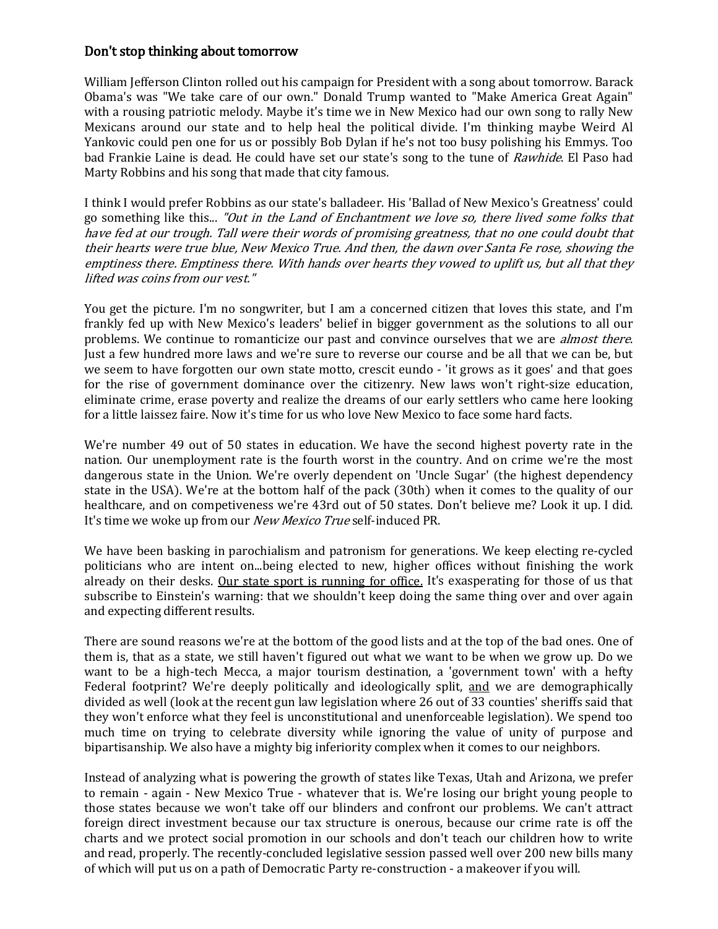## Don't stop thinking about tomorrow

William Jefferson Clinton rolled out his campaign for President with a song about tomorrow. Barack Obama's was "We take care of our own." Donald Trump wanted to "Make America Great Again" with a rousing patriotic melody. Maybe it's time we in New Mexico had our own song to rally New Mexicans around our state and to help heal the political divide. I'm thinking maybe Weird Al Yankovic could pen one for us or possibly Bob Dylan if he's not too busy polishing his Emmys. Too bad Frankie Laine is dead. He could have set our state's song to the tune of Rawhide. El Paso had Marty Robbins and his song that made that city famous.

I think I would prefer Robbins as our state's balladeer. His 'Ballad of New Mexico's Greatness' could go something like this... "Out in the Land of Enchantment we love so, there lived some folks that have fed at our trough. Tall were their words of promising greatness, that no one could doubt that their hearts were true blue, New Mexico True. And then, the dawn over Santa Fe rose, showing the emptiness there. Emptiness there. With hands over hearts they vowed to uplift us, but all that they lifted was coins from our vest."

You get the picture. I'm no songwriter, but I am a concerned citizen that loves this state, and I'm frankly fed up with New Mexico's leaders' belief in bigger government as the solutions to all our problems. We continue to romanticize our past and convince ourselves that we are *almost there.* Just a few hundred more laws and we're sure to reverse our course and be all that we can be, but we seem to have forgotten our own state motto, crescit eundo - 'it grows as it goes' and that goes for the rise of government dominance over the citizenry. New laws won't right-size education, eliminate crime, erase poverty and realize the dreams of our early settlers who came here looking for a little laissez faire. Now it's time for us who love New Mexico to face some hard facts.

We're number 49 out of 50 states in education. We have the second highest poverty rate in the nation. Our unemployment rate is the fourth worst in the country. And on crime we're the most dangerous state in the Union. We're overly dependent on 'Uncle Sugar' (the highest dependency state in the USA). We're at the bottom half of the pack (30th) when it comes to the quality of our healthcare, and on competiveness we're 43rd out of 50 states. Don't believe me? Look it up. I did. It's time we woke up from our *New Mexico True* self-induced PR.

We have been basking in parochialism and patronism for generations. We keep electing re-cycled politicians who are intent on...being elected to new, higher offices without finishing the work already on their desks. Our state sport is running for office. It's exasperating for those of us that subscribe to Einstein's warning: that we shouldn't keep doing the same thing over and over again and expecting different results.

There are sound reasons we're at the bottom of the good lists and at the top of the bad ones. One of them is, that as a state, we still haven't figured out what we want to be when we grow up. Do we want to be a high-tech Mecca, a major tourism destination, a 'government town' with a hefty Federal footprint? We're deeply politically and ideologically split, and we are demographically divided as well (look at the recent gun law legislation where 26 out of 33 counties' sheriffs said that they won't enforce what they feel is unconstitutional and unenforceable legislation). We spend too much time on trying to celebrate diversity while ignoring the value of unity of purpose and bipartisanship. We also have a mighty big inferiority complex when it comes to our neighbors.

Instead of analyzing what is powering the growth of states like Texas, Utah and Arizona, we prefer to remain - again - New Mexico True - whatever that is. We're losing our bright young people to those states because we won't take off our blinders and confront our problems. We can't attract foreign direct investment because our tax structure is onerous, because our crime rate is off the charts and we protect social promotion in our schools and don't teach our children how to write and read, properly. The recently-concluded legislative session passed well over 200 new bills many of which will put us on a path of Democratic Party re-construction - a makeover if you will.